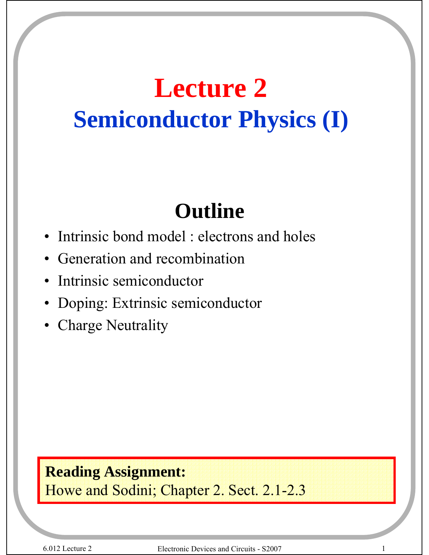# **Lecture 2 Semiconductor Physics (I)**

### **Outline**

- Intrinsic bond model : electrons and holes
- Generation and recombination
- Intrinsic semiconductor
- Doping: Extrinsic semiconductor
- Charge Neutrality

#### **Reading Assignment:**

Howe and Sodini; Chapter 2. Sect. 2.1-2.3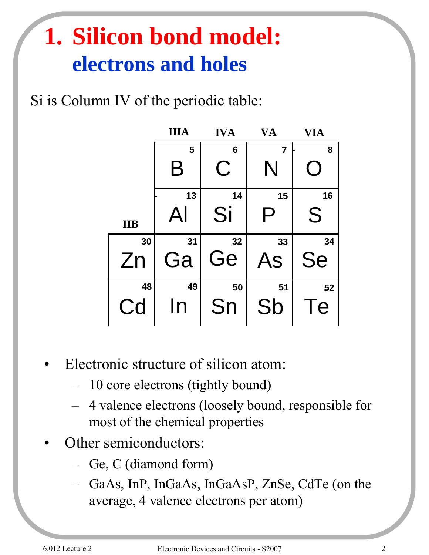## **1. Silicon bond model: electrons and holes**

Si is Column IV of the periodic table:

|                  | <b>IIIA</b> | <b>IVA</b>     | <b>VA</b>           | <b>VIA</b> |
|------------------|-------------|----------------|---------------------|------------|
|                  | 5<br>Β      | 6<br>$\bigcup$ | $\overline{7}$<br>N | 8          |
|                  | 13          | 14             | 15                  | 16         |
| <b>IIB</b><br>30 | Al<br>31    | Si<br>32       | 33                  | S<br>34    |
| Zn               | Ga          | Ge             | As                  | Se         |
| 48               | 49          | 50             | 51                  | 52         |
| Cd               | In          | Sn             | Sb                  | Ге         |

- Electronic structure of silicon atom:
	- 10 core electrons (tightly bound)
	- 4 valence electrons (loosely bound, responsible for most of the chemical properties
- Other semiconductors:
	- Ge, C (diamond form)
	- GaAs, InP, InGaAs, InGaAsP, ZnSe, CdTe (on the average, 4 valence electrons per atom)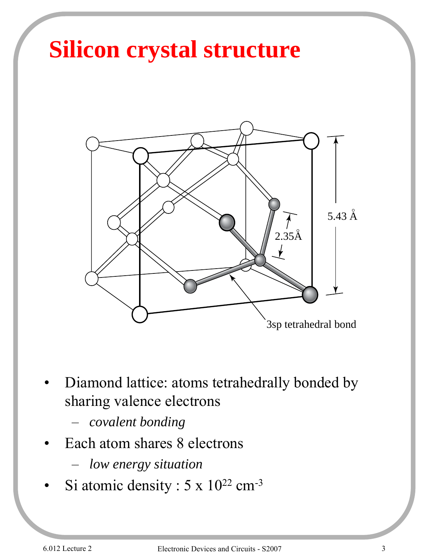### **Silicon crystal structure**



- Diamond lattice: atoms tetrahedrally bonded by sharing valence electrons
	- *covalent bonding*
- Each atom shares 8 electrons
	- *low energy situation*
- Si atomic density :  $5 \times 10^{22}$  cm<sup>-3</sup>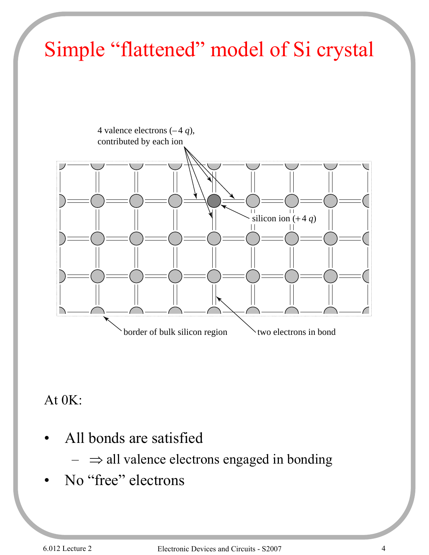### Simple "flattened" model of Si crystal



#### At 0K:

- All bonds are satisfied
	- $\Rightarrow$  all valence electrons engaged in bonding
- No "free" electrons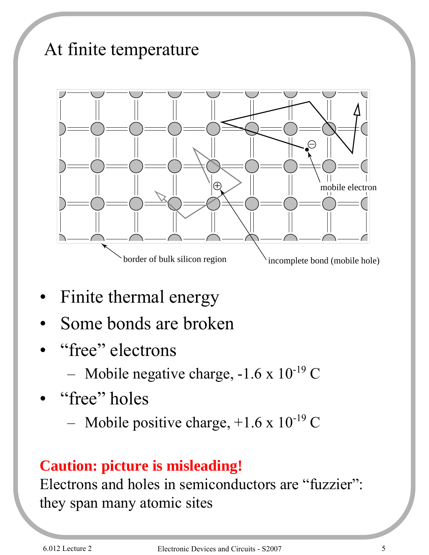### At finite temperature



- Finite thermal energy
- Some bonds are broken
- "free" electrons
	- Mobile negative charge,  $-1.6 \times 10^{-19}$  C
- "free" holes
	- Mobile positive charge,  $+1.6 \times 10^{-19}$  C

#### **Caution: picture is misleading!**

Electrons and holes in semiconductors are "fuzzier": they span many atomic sites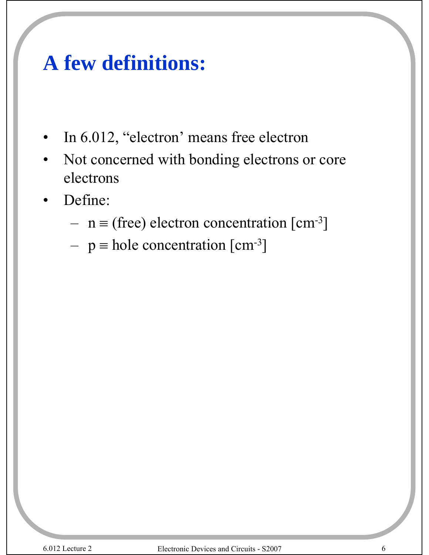### **A few definitions:**

- In 6.012, "electron' means free electron
- Not concerned with bonding electrons or core electrons
- Define:
	- $-$  n = (free) electron concentration [cm<sup>-3</sup>]
	- $p \equiv$  hole concentration  $[cm^{-3}]$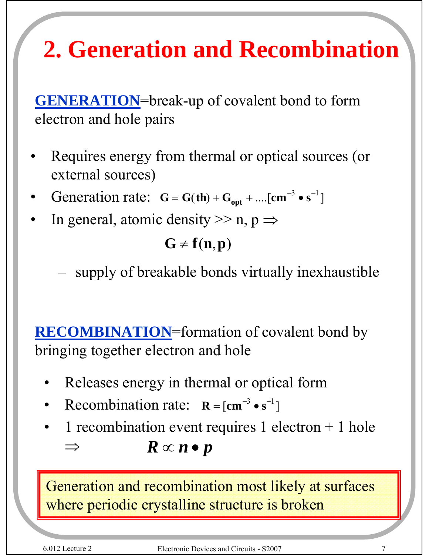## **2. Generation and Recombination**

**GENERATION**=break-up of covalent bond to form electron and hole pairs

- Requires energy from thermal or optical sources (or external sources)
- Generation rate:  $G = G(th) + G_{opt} + ... [cm^{-3} \cdot s^{-1}]$
- In general, atomic density  $\gg$  n, p  $\Rightarrow$

$$
G\neq f(n,p)\,
$$

– supply of breakable bonds virtually inexhaustible

**RECOMBINATION=formation of covalent bond by** bringing together electron and hole

- Releases energy in thermal or optical form
- Recombination rate:  $\mathbf{R} = [\mathbf{cm}^{-3} \cdot \mathbf{s}^{-1}]$
- 1 recombination event requires 1 electron  $+$  1 hole ⇒ *R* ∝ *n* • *p*

Generation and recombination most likely at surfaces where periodic crystalline structure is broken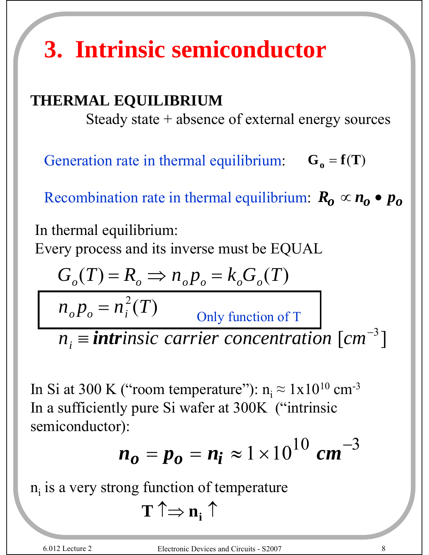## **3. Intrinsic semiconductor**

#### **THERMAL EQUILIBRIUM**

Steady state + absence of external energy sources

Generation rate in thermal equilibrium:  $G_0 = f(T)$ 

Recombination rate in thermal equilibrium:  $R_0 \propto n_0 \bullet p_0$ 

In thermal equilibrium: Every process and its inverse must be EQUAL

$$
G_o(T) = R_o \Rightarrow n_o p_o = k_o G_o(T)
$$
  
\n
$$
n_o p_o = n_i^2(T)
$$
 Only function of T  
\n
$$
n_i \equiv intrinsic carrier concentration [cm-3]
$$

In Si at 300 K ("room temperature"):  $n_i \approx 1x10^{10}$  cm<sup>-3</sup> In a sufficiently pure Si wafer at 300K ("intrinsic semiconductor):

$$
n_o = p_o = n_i \approx 1 \times 10^{10} \text{ cm}^{-3}
$$

 $n_i$  is a very strong function of temperature

$$
\mathbf{T}\uparrow\Rightarrow\mathbf{n_i}\uparrow
$$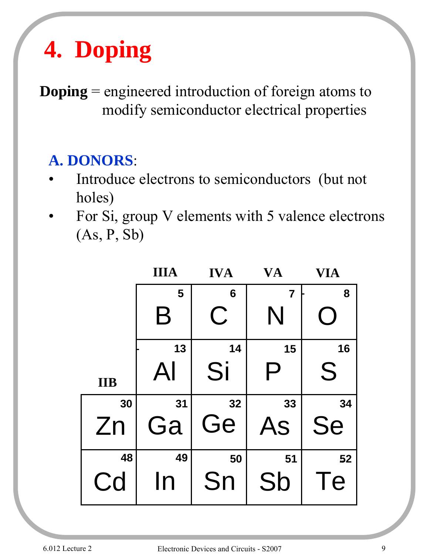# **4. Doping**

**Doping** = engineered introduction of foreign atoms to modify semiconductor electrical properties

### **A. DONORS**:

- Introduce electrons to semiconductors (but not holes)
- For Si, group V elements with 5 valence electrons (As, P, Sb)

|            | <b>IIIA</b>       | <b>IVA</b> | <b>VA</b>      | <b>VIA</b> |
|------------|-------------------|------------|----------------|------------|
|            | 5                 | 6          | $\overline{7}$ | 8          |
|            | $\bm{\mathsf{B}}$ | Ĉ          | N              |            |
|            | 13                | 14         | 15             | 16         |
| <b>IIB</b> | Al                | Si         | P              | S          |
| 30         | 31                | 32         | 33             | 34         |
| Zn         | Ga                | Ge         | As             | Se         |
| 48         | 49                | 50         | 51             | 52         |
| Cd         | In                | Sn         | Sb             | Ге         |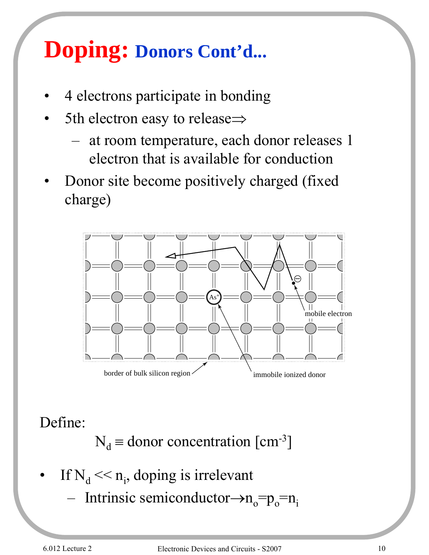### **Doping: Donors Cont'd...**

- 4 electrons participate in bonding
- 5th electron easy to release⇒
	- at room temperature, each donor releases 1 electron that is available for conduction
- Donor site become positively charged (fixed charge)



#### Define:

 $N_d$  = donor concentration [cm<sup>-3</sup>]

- If  $N_d \ll n_i$ , doping is irrelevant
	- Intrinsic semiconductor $\rightarrow n_o=p_o=n_i$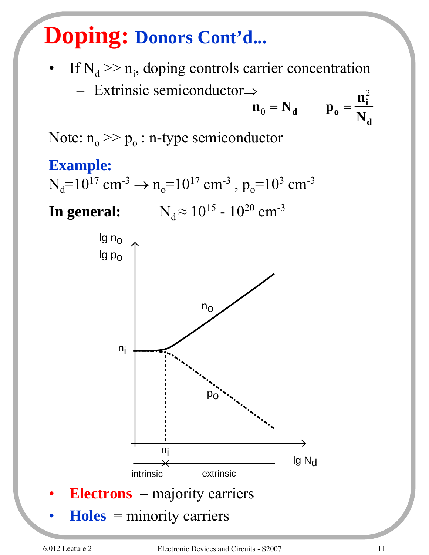### **Doping: Donors Cont'd...**

- If  $N_d \gg n_i$ , doping controls carrier concentration
	- Extrinsic semiconductor⇒

$$
\Rightarrow
$$

$$
\mathbf{n}_0 = \mathbf{N_d} \qquad \mathbf{p_o} = \frac{\mathbf{n_i^2}}{\mathbf{N_d}}
$$

Note:  $n_0 \gg p_0$ : n-type semiconductor

#### **Example:**

$$
N_d = 10^{17} \text{ cm}^{-3} \rightarrow n_o = 10^{17} \text{ cm}^{-3}, p_o = 10^3 \text{ cm}^{-3}
$$

**In general:**  $N_d \approx 10^{15} - 10^{20}$  cm<sup>-3</sup>

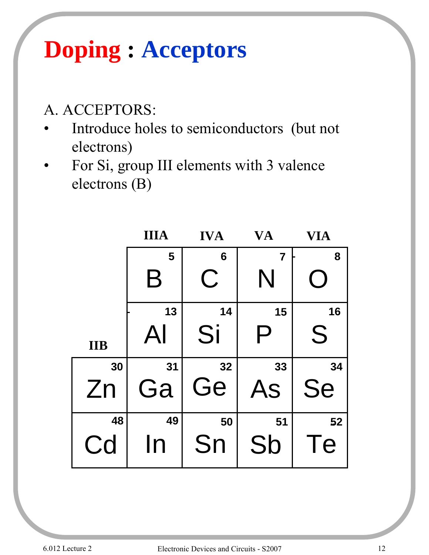## **Doping : Acceptors**

A. ACCEPTORS:

- Introduce holes to semiconductors (but not electrons)
- For Si, group III elements with 3 valence electrons (B)

|            | <b>IIIA</b>   | <b>IVA</b>      | <b>VA</b>      | <b>VIA</b> |
|------------|---------------|-----------------|----------------|------------|
|            | 5             | $6\phantom{1}6$ | $\overline{7}$ | 8          |
|            | B             | C               | N              |            |
|            | 13            | 14              | 15             | 16         |
| <b>IIB</b> | $\mathsf{Al}$ | Si              | P              | S          |
| 30         | 31            | 32              | 33             | 34         |
| Zn         | Ga            | Ge              | As             | Se         |
| 48         | 49            | 50              | 51             | 52         |
| Cd         | In            | Sn              | Sb             | Te         |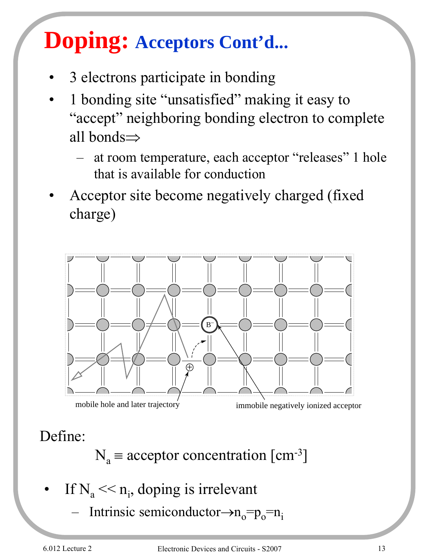## **Doping: Acceptors Cont'd...**

- 3 electrons participate in bonding
- 1 bonding site "unsatisfied" making it easy to "accept" neighboring bonding electron to complete all bonds⇒
	- at room temperature, each acceptor "releases" 1 hole that is available for conduction
- Acceptor site become negatively charged (fixed charge)



mobile hole and later trajectory immobile negatively ionized acceptor

Define:

 $N_a \equiv$  acceptor concentration [cm<sup>-3</sup>]

- If  $N_a \ll n_i$ , doping is irrelevant
	- Intrinsic semiconductor $\rightarrow n_0=p_0=n_i$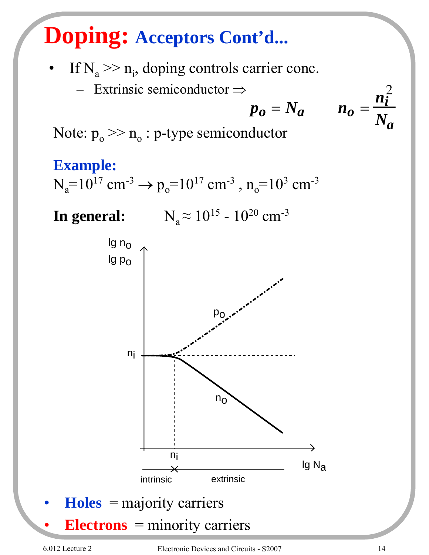## **Doping: Acceptors Cont'd...**

- If  $N_a \gg n_i$ , doping controls carrier conc.
	- Extrinsic semiconductor  $\Rightarrow$

$$
n_o = \frac{n_i^2}{N_a}
$$

 $p_o = N_a$ 

Note:  $p_0 \gg n_0$ : p-type semiconductor

#### **Example:**

$$
N_a = 10^{17} \text{ cm}^{-3} \rightarrow p_o = 10^{17} \text{ cm}^{-3}, n_o = 10^3 \text{ cm}^{-3}
$$

**In general:**  $N_a \approx 10^{15} - 10^{20}$  cm<sup>-3</sup>

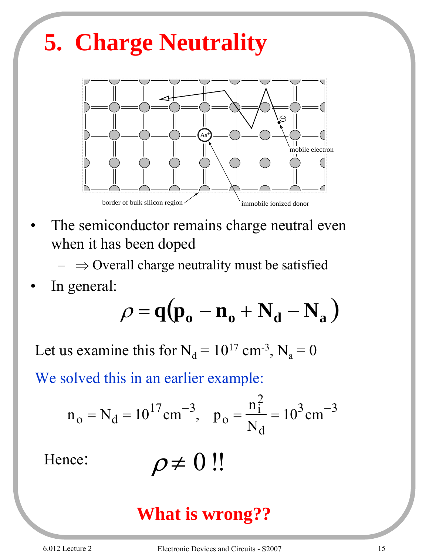# **5. Charge Neutrality**



- The semiconductor remains charge neutral even when it has been doped
	- $\Rightarrow$  Overall charge neutrality must be satisfied
- In general:

$$
\rho = q(p_o - n_o + N_d - N_a)
$$

Let us examine this for  $N_d = 10^{17}$  cm<sup>-3</sup>,  $N_a = 0$ 

We solved this in an earlier example:

$$
n_o = N_d = 10^{17} \text{cm}^{-3}, \quad p_o = \frac{n_i^2}{N_d} = 10^3 \text{cm}^{-3}
$$
  
\nHence:  $\rho \neq 0$ !!

### **What is wrong??**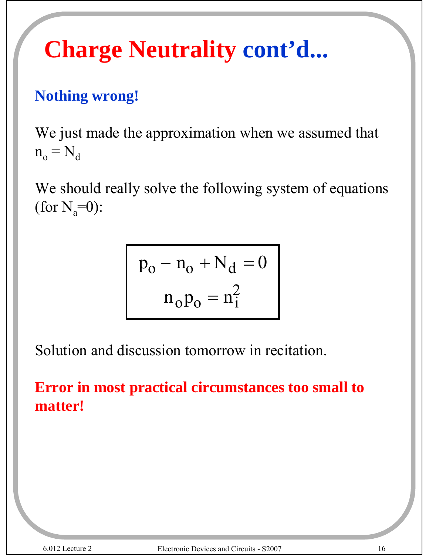## **Charge Neutrality cont'd...**

#### **Nothing wrong!**

We just made the approximation when we assumed that  $n_o = N_d$ 

We should really solve the following system of equations (for  $N_a=0$ ):

$$
p_o - n_o + N_d = 0
$$

$$
n_o p_o = n_i^2
$$

Solution and discussion tomorrow in recitation.

#### **Error in most practical circumstances too small to matter!**